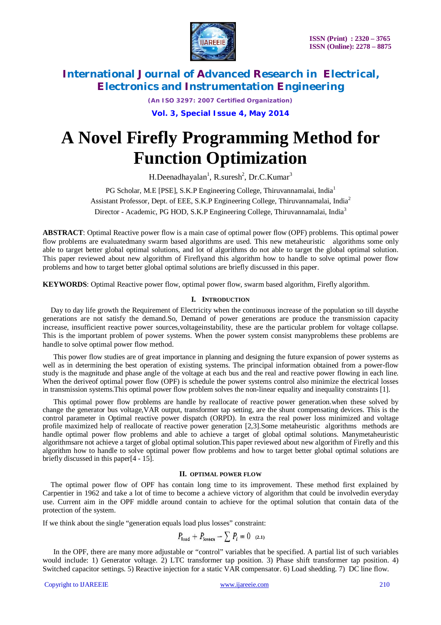

*(An ISO 3297: 2007 Certified Organization)*

**Vol. 3, Special Issue 4, May 2014**

# **A Novel Firefly Programming Method for Function Optimization**

H.Deenadhayalan<sup>1</sup>, R.suresh<sup>2</sup>, Dr.C.Kumar<sup>3</sup>

PG Scholar, M.E [PSE], S.K.P Engineering College, Thiruvannamalai, India<sup>1</sup> Assistant Professor, Dept. of EEE, S.K.P Engineering College, Thiruvannamalai, India<sup>2</sup> Director - Academic, PG HOD, S.K.P Engineering College, Thiruvannamalai, India<sup>3</sup>

**ABSTRACT**: Optimal Reactive power flow is a main case of optimal power flow (OPF) problems. This optimal power flow problems are evaluatedmany swarm based algorithms are used. This new metaheuristic algorithms some only able to target better global optimal solutions, and lot of algorithms do not able to target the global optimal solution. This paper reviewed about new algorithm of Fireflyand this algorithm how to handle to solve optimal power flow problems and how to target better global optimal solutions are briefly discussed in this paper.

**KEYWORDS**: Optimal Reactive power flow, optimal power flow, swarm based algorithm, Firefly algorithm.

# **I. INTRODUCTION**

Day to day life growth the Requirement of Electricity when the continuous increase of the population so till daysthe generations are not satisfy the demand.So, Demand of power generations are produce the transmission capacity increase, insufficient reactive power sources,voltageinstability, these are the particular problem for voltage collapse. This is the important problem of power systems. When the power system consist manyproblems these problems are handle to solve optimal power flow method.

This power flow studies are of great importance in planning and designing the future expansion of power systems as well as in determining the best operation of existing systems. The principal information obtained from a power-flow study is the magnitude and phase angle of the voltage at each bus and the real and reactive power flowing in each line. When the deriveof optimal power flow (OPF) is schedule the power systems control also minimize the electrical losses in transmission systems.This optimal power flow problem solves the non-linear equality and inequality constraints [1].

This optimal power flow problems are handle by reallocate of reactive power generation.when these solved by change the generator bus voltage,VAR output, transformer tap setting, are the shunt compensating devices. This is the control parameter in Optimal reactive power dispatch (ORPD). In extra the real power loss minimized and voltage profile maximized help of reallocate of reactive power generation [2,3].Some metaheuristic algorithms methods are handle optimal power flow problems and able to achieve a target of global optimal solutions. Manymetaheuristic algorithmsare not achieve a target of global optimal solution.This paper reviewed about new algorithm of Firefly and this algorithm how to handle to solve optimal power flow problems and how to target better global optimal solutions are briefly discussed in this paper[4 - 15].

### **II. OPTIMAL POWER FLOW**

The optimal power flow of OPF has contain long time to its improvement. These method first explained by Carpentier in 1962 and take a lot of time to become a achieve victory of algorithm that could be involvedin everyday use. Current aim in the OPF middle around contain to achieve for the optimal solution that contain data of the protection of the system.

If we think about the single "generation equals load plus losses" constraint:

$$
P_{\text{load}} + P_{\text{losses}} - \sum P_i = 0 \quad (2.1)
$$

In the OPF, there are many more adjustable or "control" variables that be specified. A partial list of such variables would include: 1) Generator voltage. 2) LTC transformer tap position. 3) Phase shift transformer tap position. 4) Switched capacitor settings. 5) Reactive injection for a static VAR compensator. 6) Load shedding. 7) DC line flow.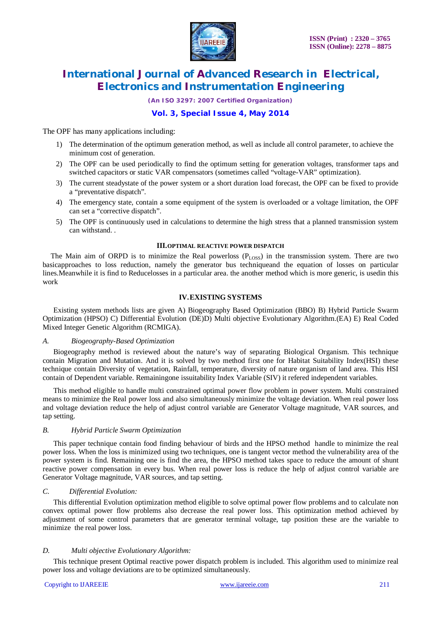

*(An ISO 3297: 2007 Certified Organization)*

# **Vol. 3, Special Issue 4, May 2014**

The OPF has many applications including:

- 1) The determination of the optimum generation method, as well as include all control parameter, to achieve the minimum cost of generation.
- 2) The OPF can be used periodically to find the optimum setting for generation voltages, transformer taps and switched capacitors or static VAR compensators (sometimes called "voltage-VAR" optimization).
- 3) The current steadystate of the power system or a short duration load forecast, the OPF can be fixed to provide a "preventative dispatch".
- 4) The emergency state, contain a some equipment of the system is overloaded or a voltage limitation, the OPF can set a "corrective dispatch".
- 5) The OPF is continuously used in calculations to determine the high stress that a planned transmission system can withstand. .

#### **III.OPTIMAL REACTIVE POWER DISPATCH**

The Main aim of ORPD is to minimize the Real powerloss  $(P_{LOS})$  in the transmission system. There are two basicapproaches to loss reduction, namely the generator bus techniqueand the equation of losses on particular lines.Meanwhile it is find to Reducelosses in a particular area. the another method which is more generic, is usedin this work

# **IV.EXISTING SYSTEMS**

Existing system methods lists are given A) Biogeography Based Optimization (BBO) B) Hybrid Particle Swarm Optimization (HPSO) C) Differential Evolution (DE)D) Multi objective Evolutionary Algorithm.(EA) E) Real Coded Mixed Integer Genetic Algorithm (RCMIGA).

#### *A. Biogeography-Based Optimization*

Biogeography method is reviewed about the nature's way of separating Biological Organism. This technique contain Migration and Mutation. And it is solved by two method first one for Habitat Suitability Index(HSI) these technique contain Diversity of vegetation, Rainfall, temperature, diversity of nature organism of land area. This HSI contain of Dependent variable. Remainingone issuitability Index Variable (SIV) it refered independent variables.

This method eligible to handle multi constrained optimal power flow problem in power system. Multi constrained means to minimize the Real power loss and also simultaneously minimize the voltage deviation. When real power loss and voltage deviation reduce the help of adjust control variable are Generator Voltage magnitude, VAR sources, and tap setting.

### *B. Hybrid Particle Swarm Optimization*

This paper technique contain food finding behaviour of birds and the HPSO method handle to minimize the real power loss. When the loss is minimized using two techniques, one is tangent vector method the vulnerability area of the power system is find. Remaining one is find the area, the HPSO method takes space to reduce the amount of shunt reactive power compensation in every bus. When real power loss is reduce the help of adjust control variable are Generator Voltage magnitude, VAR sources, and tap setting.

### *C. Differential Evolution:*

This differential Evolution optimization method eligible to solve optimal power flow problems and to calculate non convex optimal power flow problems also decrease the real power loss. This optimization method achieved by adjustment of some control parameters that are generator terminal voltage, tap position these are the variable to minimize the real power loss.

### *D. Multi objective Evolutionary Algorithm:*

This technique present Optimal reactive power dispatch problem is included. This algorithm used to minimize real power loss and voltage deviations are to be optimized simultaneously.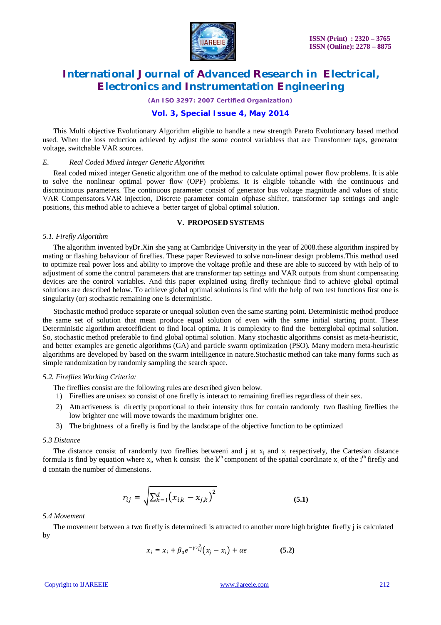

*(An ISO 3297: 2007 Certified Organization)*

# **Vol. 3, Special Issue 4, May 2014**

This Multi objective Evolutionary Algorithm eligible to handle a new strength Pareto Evolutionary based method used. When the loss reduction achieved by adjust the some control variabless that are Transformer taps, generator voltage, switchable VAR sources.

#### *E. Real Coded Mixed Integer Genetic Algorithm*

Real coded mixed integer Genetic algorithm one of the method to calculate optimal power flow problems. It is able to solve the nonlinear optimal power flow (OPF) problems. It is eligible tohandle with the continuous and discontinuous parameters. The continuous parameter consist of generator bus voltage magnitude and values of static VAR Compensators.VAR injection, Discrete parameter contain ofphase shifter, transformer tap settings and angle positions, this method able to achieve a better target of global optimal solution.

#### **V. PROPOSED SYSTEMS**

#### *5.1. Firefly Algorithm*

The algorithm invented byDr.Xin she yang at Cambridge University in the year of 2008.these algorithm inspired by mating or flashing behaviour of fireflies. These paper Reviewed to solve non-linear design problems.This method used to optimize real power loss and ability to improve the voltage profile and these are able to succeed by with help of to adjustment of some the control parameters that are transformer tap settings and VAR outputs from shunt compensating devices are the control variables. And this paper explained using firefly technique find to achieve global optimal solutions are described below. To achieve global optimal solutions is find with the help of two test functions first one is singularity (or) stochastic remaining one is deterministic.

Stochastic method produce separate or unequal solution even the same starting point. Deterministic method produce the same set of solution that mean produce equal solution of even with the same initial starting point. These Deterministic algorithm aretoefficient to find local optima. It is complexity to find the betterglobal optimal solution. So, stochastic method preferable to find global optimal solution. Many stochastic algorithms consist as meta-heuristic, and better examples are genetic algorithms (GA) and particle swarm optimization (PSO). Many modern meta-heuristic algorithms are developed by based on the swarm intelligence in nature.Stochastic method can take many forms such as simple randomization by randomly sampling the search space.

#### *5.2. Fireflies Working Criteria:*

- The fireflies consist are the following rules are described given below.
- 1) Fireflies are unisex so consist of one firefly is interact to remaining fireflies regardless of their sex.
- 2) Attractiveness is directly proportional to their intensity thus for contain randomly two flashing fireflies the low brighter one will move towards the maximum brighter one.
- 3) The brightness of a firefly is find by the landscape of the objective function to be optimized

#### *5.3 Distance*

The distance consist of randomly two fireflies betweeni and j at  $x_i$  and  $x_j$  respectively, the Cartesian distance formula is find by equation where  $x_i$ , when k consist the  $k<sup>th</sup>$  component of the spatial coordinate  $x_i$  of the i<sup>th</sup> firefly and d contain the number of dimensions.

$$
r_{ij} = \sqrt{\sum_{k=1}^{d} (x_{i,k} - x_{j,k})^2}
$$
 (5.1)

#### *5.4 Movement*

The movement between a two firefly is determinedi is attracted to another more high brighter firefly j is calculated by

$$
x_i = x_i + \beta_0 e^{-\gamma r_{ij}^2} (x_j - x_i) + \alpha \epsilon \tag{5.2}
$$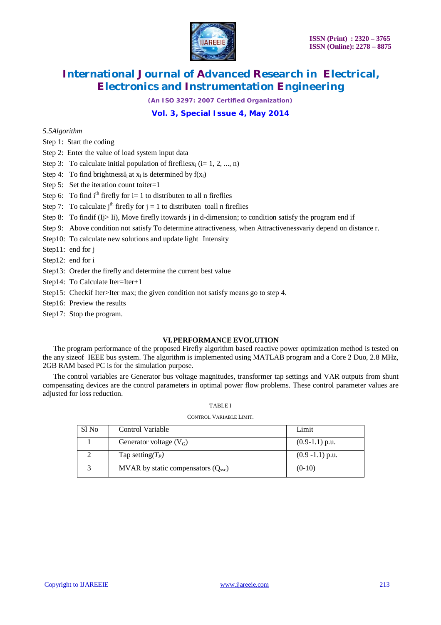

*(An ISO 3297: 2007 Certified Organization)*

# **Vol. 3, Special Issue 4, May 2014**

#### *5.5Algorithm*

- Step 1: Start the coding
- Step 2: Enter the value of load system input data
- Step 3: To calculate initial population of fireflies  $x_i$  (i= 1, 2, ..., n)
- Step 4: To find brightnessI<sub>i</sub> at  $x_i$  is determined by  $f(x_i)$
- Step 5: Set the iteration count toiter=1
- Step 6: To find  $i<sup>th</sup>$  firefly for  $i=1$  to distributen to all n fireflies
- Step 7: To calculate  $j<sup>th</sup>$  firefly for  $j = 1$  to distributen toall n fireflies
- Step 8: To findif ( $I$ j> Ii), Move firefly itowards j in d-dimension; to condition satisfy the program end if
- Step 9: Above condition not satisfy To determine attractiveness, when Attractivenessvariy depend on distance r.
- Step10: To calculate new solutions and update light Intensity
- Step11: end for j
- Step12: end for i
- Step13: Oreder the firefly and determine the current best value
- Step14: To Calculate Iter=Iter+1
- Step15: Checkif Iter>Iter max; the given condition not satisfy means go to step 4.
- Step16: Preview the results
- Step17: Stop the program.

#### **VI.PERFORMANCE EVOLUTION**

The program performance of the proposed Firefly algorithm based reactive power optimization method is tested on the any sizeof IEEE bus system. The algorithm is implemented using MATLAB program and a Core 2 Duo, 2.8 MHz, 2GB RAM based PC is for the simulation purpose.

The control variables are Generator bus voltage magnitudes, transformer tap settings and VAR outputs from shunt compensating devices are the control parameters in optimal power flow problems. These control parameter values are adjusted for loss reduction.

#### TABLE I

#### CONTROL VARIABLE LIMIT.

| Sl No | Control Variable                     | Limit              |
|-------|--------------------------------------|--------------------|
|       | Generator voltage $(V_G)$            | $(0.9-1.1)$ p.u.   |
|       | Tap setting( $T_P$ )                 | $(0.9 - 1.1)$ p.u. |
|       | MVAR by static compensators $(Qsrc)$ | $(0-10)$           |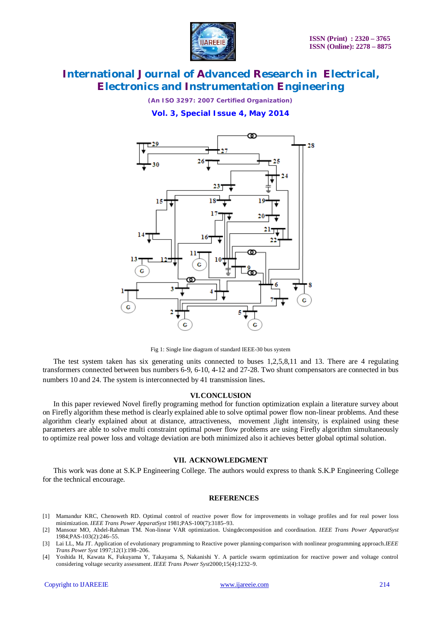

*(An ISO 3297: 2007 Certified Organization)*

**Vol. 3, Special Issue 4, May 2014**



Fig 1: Single line diagram of standard IEEE-30 bus system

The test system taken has six generating units connected to buses 1,2,5,8,11 and 13. There are 4 regulating transformers connected between bus numbers 6-9, 6-10, 4-12 and 27-28. Two shunt compensators are connected in bus numbers 10 and 24. The system is interconnected by 41 transmission lines.

#### **VI.CONCLUSION**

In this paper reviewed Novel firefly programing method for function optimization explain a literature survey about on Firefly algorithm these method is clearly explained able to solve optimal power flow non-linear problems. And these algorithm clearly explained about at distance, attractiveness, movement ,light intensity, is explained using these parameters are able to solve multi constraint optimal power flow problems are using Firefly algorithm simultaneously to optimize real power loss and voltage deviation are both minimized also it achieves better global optimal solution.

# **VII. ACKNOWLEDGMENT**

This work was done at S.K.P Engineering College. The authors would express to thank S.K.P Engineering College for the technical encourage.

#### **REFERENCES**

- [1] Mamandur KRC, Chenoweth RD. Optimal control of reactive power flow for improvements in voltage profiles and for real power loss minimization. *IEEE Trans Power ApparatSyst* 1981;PAS-100(7):3185–93.
- [2] Mansour MO, Abdel-Rahman TM. Non-linear VAR optimization. Usingdecomposition and coordination. *IEEE Trans Power ApparatSyst* 1984;PAS-103(2):246–55.
- [3] Lai LL, Ma JT. Application of evolutionary programming to Reactive power planning-comparison with nonlinear programming approach.*IEEE Trans Power Syst* 1997;12(1):198–206.
- [4] Yoshida H, Kawata K, Fukuyama Y, Takayama S, Nakanishi Y. A particle swarm optimization for reactive power and voltage control considering voltage security assessment. *IEEE Trans Power Syst*2000;15(4):1232–9.